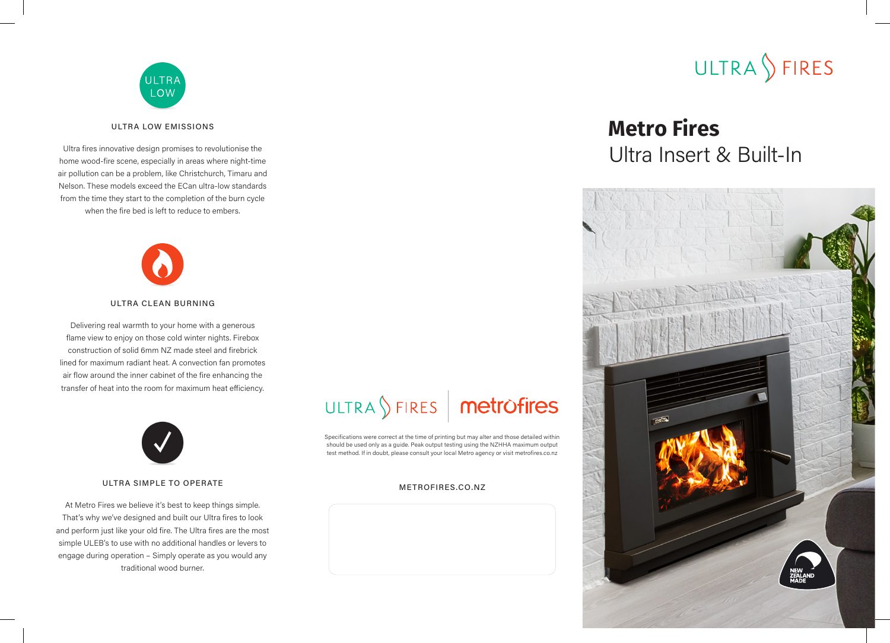

### ULTRA LOW EMISSIONS

Ultra fires innovative design promises to revolutionise the home wood-fire scene, especially in areas where night-time air pollution can be a problem, like Christchurch, Timaru and Nelson. These models exceed the ECan ultra-low standards from the time they start to the completion of the burn cycle when the fire bed is left to reduce to embers.



### ULTRA CLEAN BURNING

Delivering real warmth to your home with a generous flame view to enjoy on those cold winter nights. Firebox construction of solid 6mm NZ made steel and firebrick lined for maximum radiant heat. A convection fan promotes air flow around the inner cabinet of the fire enhancing the transfer of heat into the room for maximum heat efficiency.



### ULTRA SIMPLE TO OPERATE

At Metro Fires we believe it's best to keep things simple. That's why we've designed and built our Ultra fires to look and perform just like your old fire. The Ultra fires are the most simple ULEB's to use with no additional handles or levers to engage during operation – Simply operate as you would any traditional wood burner.

# ULTRA SFIRES | metrofires

Specifications were correct at the time of printing but may alter and those detailed within should be used only as a guide. Peak output testing using the NZHHA maximum output test method. If in doubt, please consult your local Metro agency or visit metrofires.co.nz

### METROFIRES.CO.NZ



## **Metro Fires** Ultra Insert & Built-In